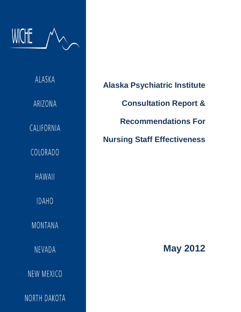

ALASKA ARIZONA CALIFORNIA COLORADO **HAWAII IDAHO MONTANA** NEVADA NEW MEXICO NORTH DAKOTA

**Alaska Psychiatric Institute Consultation Report & Recommendations For Nursing Staff Effectiveness**

 **May 2012**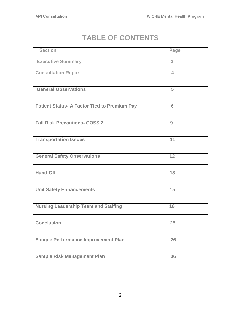# **TABLE OF CONTENTS**

| Page |
|------|
| 3    |
| 4    |
| 5    |
| 6    |
| 9    |
| 11   |
| 12   |
| 13   |
| 15   |
| 16   |
| 25   |
| 26   |
| 36   |
|      |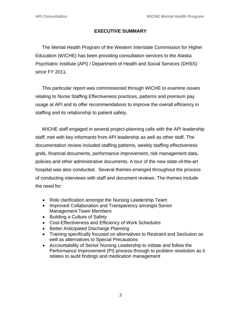## **EXECUTIVE SUMMARY**

 The Mental Health Program of the Western Interstate Commission for Higher Education (WICHE) has been providing consultation services to the Alaska Psychiatric Institute (API) / Department of Health and Social Services (DHSS) since FY 2011.

 This particular report was commissioned through WICHE to examine issues relating to Nurse Staffing Effectiveness practices, patterns and premium pay usage at API and to offer recommendations to improve the overall efficiency in staffing and its relationship to patient safety.

 WICHE staff engaged in several project-planning calls with the API leadership staff; met with key informants from API leadership as well as other staff. The documentation review included staffing patterns, weekly staffing effectiveness grids, financial documents, performance improvement, risk management data, policies and other administrative documents. A tour of the new state-of-the-art hospital was also conducted. Several themes emerged throughout the process of conducting interviews with staff and document reviews. The themes include the need for:

- Role clarification amongst the Nursing Leadership Team
- Improved Collaboration and Transparency amongst Senior Management Team Members
- Building a Culture of Safety
- Cost-Effectiveness and Efficiency of Work Schedules
- Better Anticipated Discharge Planning
- Training specifically focused on alternatives to Restraint and Seclusion as well as alternatives to Special Precautions
- Accountability of Senior Nursing Leadership to initiate and follow the Performance Improvement (PI) process through to problem resolution as it relates to audit findings and medication management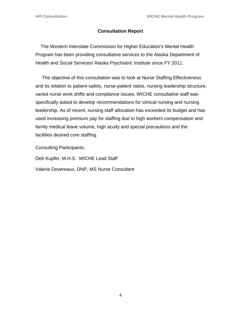## **Consultation Report**

The Western Interstate Commission for Higher Education's Mental Health Program has been providing consultative services to the Alaska Department of Health and Social Services/ Alaska Psychiatric Institute since FY 2011.

 The objective of this consultation was to look at Nurse Staffing Effectiveness and its relation to patient-safety, nurse-patient ratios, nursing leadership structure, varied nurse work shifts and compliance issues. WICHE consultative staff was specifically asked to develop recommendations for clinical nursing and nursing leadership. As of recent, nursing staff allocation has exceeded its budget and has used increasing premium pay for staffing due to high workers compensation and family medical leave volume, high acuity and special precautions and the facilities desired core staffing.

Consulting Participants:

Deb Kupfer, M.H.S. WICHE Lead Staff

Valerie Devereaux, DNP, MS Nurse Consultant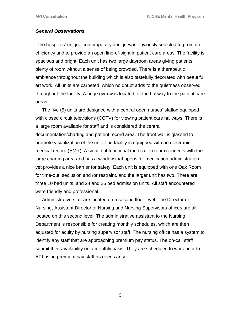#### *General Observations*

The hospitals' unique contemporary design was obviously selected to promote efficiency and to provide an open line-of-sight in patient care areas. The facility is spacious and bright. Each unit has two large dayroom areas giving patients plenty of room without a sense of being crowded. There is a therapeutic ambiance throughout the building which is also tastefully decorated with beautiful art work. All units are carpeted, which no doubt adds to the quietness observed throughout the facility. A huge gym was located off the hallway to the patient care areas.

 The five (5) units are designed with a central open nurses' station equipped with closed circuit televisions (CCTV) for viewing patient care hallways. There is a large room available for staff and is considered the central documentation/charting and patient record area. The front wall is glassed to promote visualization of the unit. The facility is equipped with an electronic medical record (EMR). A small but functional medication room connects with the large charting area and has a window that opens for medication administration yet provides a nice barrier for safety. Each unit is equipped with one Oak Room for time-out, seclusion and /or restraint, and the larger unit has two. There are three 10 bed units, and 24 and 26 bed admission units. All staff encountered were friendly and professional.

 Administrative staff are located on a second floor level. The Director of Nursing, Assistant Director of Nursing and Nursing Supervisors offices are all located on this second level. The administrative assistant to the Nursing Department is responsible for creating monthly schedules, which are then adjusted for acuity by nursing supervisor staff. The nursing office has a system to identify any staff that are approaching premium pay status. The on-call staff submit their availability on a monthly basis. They are scheduled to work prior to API using premium pay staff as needs arise.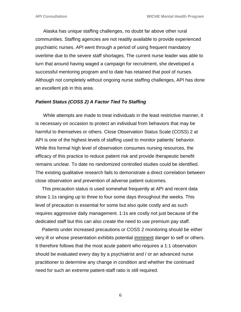Alaska has unique staffing challenges, no doubt far above other rural communities. Staffing agencies are not readily available to provide experienced psychiatric nurses. API went through a period of using frequent mandatory overtime due to the severe staff shortages. The current nurse leader was able to turn that around having waged a campaign for recruitment, she developed a successful mentoring program and to date has retained that pool of nurses. Although not completely without ongoing nurse staffing challenges, API has done an excellent job in this area.

#### *Patient Status (COSS 2) A Factor Tied To Staffing*

 While attempts are made to treat individuals in the least restrictive manner, it is necessary on occasion to protect an individual from behaviors that may be harmful to themselves or others. Close Observation Status Scale (COSS) 2 at API is one of the highest levels of staffing used to monitor patients' behavior. While this formal high level of observation consumes nursing resources, the efficacy of this practice to reduce patient risk and provide therapeutic benefit remains unclear. To date no randomized controlled studies could be identified. The existing qualitative research fails to demonstrate a direct correlation between close observation and prevention of adverse patient outcomes.

 This precaution status is used somewhat frequently at API and recent data show 1:1s ranging up to three to four some days throughout the weeks. This level of precaution is essential for some but also quite costly and as such requires aggressive daily management. 1:1s are costly not just because of the dedicated staff but this can also create the need to use premium pay staff.

 Patients under increased precautions or COSS 2 monitoring should be either very ill or whose presentation exhibits potential imminent danger to self or others. It therefore follows that the most acute patient who requires a 1:1 observation should be evaluated every day by a psychiatrist and / or an advanced nurse practitioner to determine any change in condition and whether the continued need for such an extreme patient-staff ratio is still required.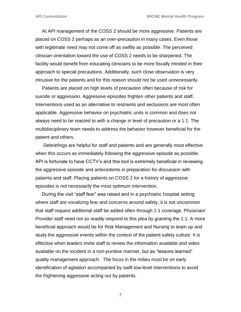At API management of the COSS 2 should be more aggressive. Patients are placed on COSS 2 perhaps as an over-precaution in many cases. Even those with legitimate need may not come off as swiftly as possible. The perceived clinician orientation toward the use of COSS 2 needs to be sharpened. The facility would benefit from educating clinicians to be more fiscally minded in their approach to special precautions. Additionally, such close observation is very intrusive for the patients and for this reason should not be used unnecessarily.

 Patients are placed on high levels of precaution often because of risk for suicide or aggression. Aggressive episodes frighten other patients and staff. Interventions used as an alternative to restraints and seclusions are most often applicable. Aggressive behavior on psychiatric units is common and does not always need to be reacted to with a change in level of precaution or a 1:1. The multidisciplinary team needs to address the behavior however beneficial for the patient and others.

 Debriefings are helpful for staff and patients and are generally most effective when this occurs as immediately following the aggressive episode as possible. API is fortunate to have CCTV's and this tool is extremely beneficial in reviewing the aggressive episode and antecedents in preparation for discussion with patients and staff. Placing patients on COSS 2 for a history of aggressive episodes is not necessarily the most optimum intervention.

 During the visit "staff fear" was raised and in a psychiatric hospital setting where staff are vocalizing fear and concerns around safety, it is not uncommon that staff request additional staff be added often through 1:1 coverage. Physician/ Provider staff need not so readily respond to this plea by granting the 1:1. A more beneficial approach would be for Risk Management and Nursing to team up and study the aggressive events within the context of the patient-safety culture. It is effective when leaders invite staff to review the information available and video available on the incident in a non-punitive manner, but as "lessons learned" quality management approach. The focus in the milieu must be on early identification of agitation accompanied by swift low-level interventions to avoid the frightening aggressive acting out by patients.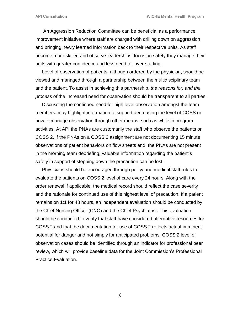An Aggression Reduction Committee can be beneficial as a performance improvement initiative where staff are charged with drilling down on aggression and bringing newly learned information back to their respective units. As staff become more skilled and observe leaderships' focus on safety they manage their units with greater confidence and less need for over-staffing.

 Level of observation of patients, although ordered by the physician, should be viewed and managed through a partnership between the multidisciplinary team and the patient. To assist in achieving this partnership, *the reasons for, and the process of* the increased need for observation should be transparent to all parties.

 Discussing the continued need for high level observation amongst the team members, may highlight information to support decreasing the level of COSS or how to manage observation through other means, such as while in program activities. At API the PNAs are customarily the staff who observe the patients on COSS 2. If the PNAs on a COSS 2 assignment are not documenting 15 minute observations of patient behaviors on flow sheets and, the PNAs are not present in the morning team debriefing, valuable information regarding the patient's safety in support of stepping down the precaution can be lost.

 Physicians should be encouraged through policy and medical staff rules to evaluate the patients on COSS 2 level of care every 24 hours. Along with the order renewal if applicable, the medical record should reflect the case severity and the rationale for continued use of this highest level of precaution. If a patient remains on 1:1 for 48 hours, an independent evaluation should be conducted by the Chief Nursing Officer (CNO) and the Chief Psychiatrist. This evaluation should be conducted to verify that staff have considered alternative resources for COSS 2 and that the documentation for use of COSS 2 reflects actual imminent potential for danger and not simply for anticipated problems. COSS 2 level of observation cases should be identified through an indicator for professional peer review, which will provide baseline data for the Joint Commission's Professional Practice Evaluation.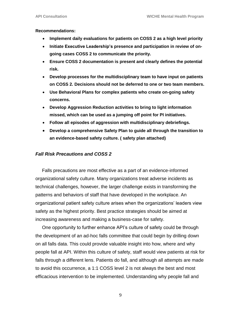#### **Recommendations:**

- **Implement daily evaluations for patients on COSS 2 as a high level priority**
- **Initiate Executive Leadership's presence and participation in review of ongoing cases COSS 2 to communicate the priority.**
- **Ensure COSS 2 documentation is present and clearly defines the potential risk.**
- **Develop processes for the multidisciplinary team to have input on patients on COSS 2. Decisions should not be deferred to one or two team members.**
- **Use Behavioral Plans for complex patients who create on-going safety concerns.**
- **Develop Aggression Reduction activities to bring to light information missed, which can be used as a jumping off point for PI initiatives.**
- **Follow all episodes of aggression with multidisciplinary debriefings.**
- **Develop a comprehensive Safety Plan to guide all through the transition to an evidence-based safety culture. ( safety plan attached)**

## *Fall Risk Precautions and COSS 2*

 Falls precautions are most effective as a part of an evidence-informed organizational safety culture. Many organizations treat adverse incidents as technical challenges, however, the larger challenge exists in transforming the patterns and behaviors of staff that have developed in the workplace. An organizational patient safety culture arises when the organizations' leaders view safety as the highest priority. Best practice strategies should be aimed at increasing awareness and making a business-case for safety.

 One opportunity to further enhance API's culture of safety could be through the development of an ad-hoc falls committee that could begin by drilling down on all falls data. This could provide valuable insight into how, where and why people fall at API. Within this culture of safety, staff would view patients at risk for falls through a different lens. Patients do fall, and although all attempts are made to avoid this occurrence, a 1:1 COSS level 2 is not always the best and most efficacious intervention to be implemented. Understanding why people fall and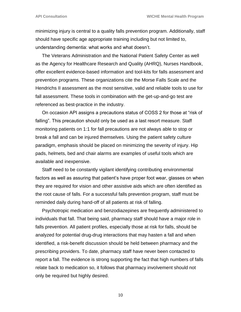minimizing injury is central to a quality falls prevention program. Additionally, staff should have specific age appropriate training including but not limited to, understanding dementia: what works and what doesn't.

 The Veterans Administration and the National Patient Safety Center as well as the Agency for Healthcare Research and Quality (AHRQ), Nurses Handbook, offer excellent evidence-based information and tool-kits for falls assessment and prevention programs. These organizations cite the Morse Falls Scale and the Hendrichs II assessment as the most sensitive, valid and reliable tools to use for fall assessment. These tools in combination with the get-up-and-go test are referenced as best-practice in the industry.

 On occasion API assigns a precautions status of COSS 2 for those at "risk of falling". This precaution should only be used as a last resort measure. Staff monitoring patients on 1:1 for fall precautions are not always able to stop or break a fall and can be injured themselves. Using the patient safety culture paradigm, emphasis should be placed on minimizing the severity of injury. Hip pads, helmets, bed and chair alarms are examples of useful tools which are available and inexpensive.

 Staff need to be constantly vigilant identifying contributing environmental factors as well as assuring that patient's have proper foot wear, glasses on when they are required for vision and other assistive aids which are often identified as the root cause of falls. For a successful falls prevention program, staff must be reminded daily during hand-off of all patients at risk of falling.

 Psychotropic medication and benzodiazepines are frequently administered to individuals that fall. That being said, pharmacy staff should have a major role in falls prevention. All patient profiles, especially those at risk for falls, should be analyzed for potential drug-drug interactions that may hasten a fall and when identified, a risk-benefit discussion should be held between pharmacy and the prescribing providers. To date, pharmacy staff have never been contacted to report a fall. The evidence is strong supporting the fact that high numbers of falls relate back to medication so, it follows that pharmacy involvement should not only be required but highly desired.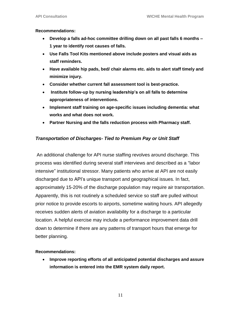#### **Recommendations:**

- **Develop a falls ad-hoc committee drilling down on all past falls 6 months – 1 year to identify root causes of falls.**
- **Use Falls Tool Kits mentioned above include posters and visual aids as staff reminders.**
- **Have available hip pads, bed/ chair alarms etc. aids to alert staff timely and minimize injury.**
- **Consider whether current fall assessment tool is best-practice.**
- **Institute follow-up by nursing leadership's on all falls to determine appropriateness of interventions.**
- **Implement staff training on age-specific issues including dementia: what works and what does not work.**
- **Partner Nursing and the falls reduction process with Pharmacy staff.**

### *Transportation of Discharges- Tied to Premium Pay or Unit Staff*

An additional challenge for API nurse staffing revolves around discharge. This process was identified during several staff interviews and described as a "labor intensive" institutional stressor. Many patients who arrive at API are not easily discharged due to API's unique transport and geographical issues. In fact, approximately 15-20% *o*f the discharge population may require air transportation. Apparently, this is not routinely a scheduled service so staff are pulled without prior notice to provide escorts to airports, sometime waiting hours. API allegedly receives sudden alerts of aviation availability for a discharge to a particular location. A helpful exercise may include a performance improvement data drill down to determine if there are any patterns of transport hours that emerge for better planning.

#### **Recommendations:**

 **Improve reporting efforts of all anticipated potential discharges and assure information is entered into the EMR system daily report.**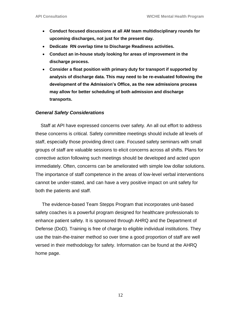- **Conduct focused discussions at all AM team multidisciplinary rounds for upcoming discharges, not just for the present day.**
- **Dedicate RN overlap time to Discharge Readiness activities.**
- **Conduct an in-house study looking for areas of improvement in the discharge process.**
- **Consider a float position with primary duty for transport if supported by analysis of discharge data. This may need to be re-evaluated following the development of the Admission's Office, as the new admissions process may allow for better scheduling of both admission and discharge transports.**

#### *General Safety Considerations*

 Staff at API have expressed concerns over safety. An all out effort to address these concerns is critical. Safety committee meetings should include all levels of staff, especially those providing direct care. Focused safety seminars with small groups of staff are valuable sessions to elicit concerns across all shifts. Plans for corrective action following such meetings should be developed and acted upon immediately. Often, concerns can be ameliorated with simple low dollar solutions. The importance of staff competence in the areas of low-level verbal interventions cannot be under-stated, and can have a very positive impact on unit safety for both the patients and staff.

 The evidence-based Team Stepps Program that incorporates unit-based safety coaches is a powerful program designed for healthcare professionals to enhance patient safety. It is sponsored through AHRQ and the Department of Defense (DoD). Training is free of charge to eligible individual institutions. They use the train-the-trainer method so over time a good proportion of staff are well versed in their methodology for safety. Information can be found at the AHRQ home page.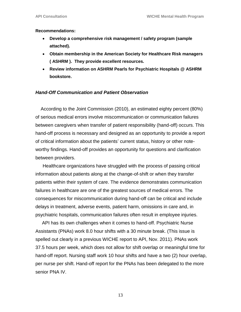#### **Recommendations:**

- **Develop a comprehensive risk management / safety program (sample attached).**
- **Obtain membership in the American Society for Healthcare Risk managers ( ASHRM ). They provide excellent resources.**
- **Review information on ASHRM Pearls for Psychiatric Hospitals @ ASHRM bookstore.**

#### *Hand-Off Communication and Patient Observation*

 According to the Joint Commission (2010), an estimated eighty percent (80%) of serious medical errors involve miscommunication or communication failures between caregivers when transfer of patient responsibility (hand-off) occurs. This hand-off process is necessary and designed as an opportunity to provide a report of critical information about the patients' current status, history or other noteworthy findings. Hand-off provides an opportunity for questions and clarification between providers.

 Healthcare organizations have struggled with the process of passing critical information about patients along at the change-of-shift or when they transfer patients within their system of care. The evidence demonstrates communication failures in healthcare are one of the greatest sources of medical errors. The consequences for miscommunication during hand-off can be critical and include delays in treatment, adverse events, patient harm, omissions in care and, in psychiatric hospitals, communication failures often result in employee injuries.

 API has its own challenges when it comes to hand-off. Psychiatric Nurse Assistants (PNAs) work 8.0 hour shifts with a 30 minute break. (This issue is spelled out clearly in a previous WICHE report to API, Nov. 2011). PNAs work 37.5 hours per week, which does not allow for shift overlap or meaningful time for hand-off report. Nursing staff work 10 hour shifts and have a two (2) hour overlap, per nurse per shift. Hand-off report for the PNAs has been delegated to the more senior PNA IV.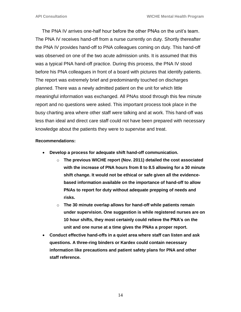The PNA IV arrives one-half hour before the other PNAs on the unit's team. The PNA IV receives hand-off from a nurse currently on duty. Shortly thereafter the PNA IV provides hand-off to PNA colleagues coming on duty. This hand-off was observed on one of the two acute admission units. It is assumed that this was a typical PNA hand-off practice. During this process, the PNA IV stood before his PNA colleagues in front of a board with pictures that identify patients. The report was extremely brief and predominantly touched on discharges planned. There was a newly admitted patient on the unit for which little meaningful information was exchanged. All PNAs stood through this few minute report and no questions were asked. This important process took place in the busy charting area where other staff were talking and at work. This hand-off was less than ideal and direct care staff could not have been prepared with necessary knowledge about the patients they were to supervise and treat.

#### **Recommendations:**

- **Develop a process for adequate shift hand-off communication.**
	- o **The previous WICHE report (Nov. 2011) detailed the cost associated with the increase of PNA hours from 8 to 8.5 allowing for a 30 minute shift change. It would not be ethical or safe given all the evidencebased information available on the importance of hand-off to allow PNAs to report for duty without adequate prepping of needs and risks.**
	- o **The 30 minute overlap allows for hand-off while patients remain under supervision. One suggestion is while registered nurses are on 10 hour shifts, they most certainly could relieve the PNA's on the unit and one nurse at a time gives the PNAs a proper report.**
- **Conduct effective hand-offs in a quiet area where staff can listen and ask questions. A three-ring binders or Kardex could contain necessary information like precautions and patient safety plans for PNA and other staff reference.**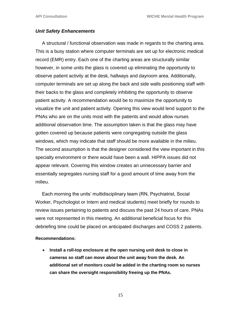#### *Unit Safety Enhancements*

 A structural / functional observation was made in regards to the charting area. This is a busy station where computer terminals are set up for electronic medical record (EMR) entry. Each one of the charting areas are structurally similar however, in some units the glass is covered up eliminating the opportunity to observe patient activity at the desk, hallways and dayroom area. Additionally, computer terminals are set up along the back and side walls positioning staff with their backs to the glass and completely inhibiting the opportunity to observe patient activity. A recommendation would be to maximize the opportunity to visualize the unit and patient activity. Opening this view would lend support to the PNAs who are on the units most with the patients and would allow nurses additional observation time. The assumption taken is that the glass may have gotten covered up because patients were congregating outside the glass windows, which may indicate that staff should be more available in the milieu. The second assumption is that the designer considered the view important in this specialty environment or there would have been a wall. HIPPA issues did not appear relevant. Covering this window creates an unnecessary barrier and essentially segregates nursing staff for a good amount of time away from the milieu.

 Each morning the units' multidisciplinary team (RN, Psychiatrist, Social Worker, Psychologist or Intern and medical students) meet briefly for rounds to review issues pertaining to patients and discuss the past 24 hours of care. PNAs were not represented in this meeting. An additional beneficial focus for this debriefing time could be placed on anticipated discharges and COSS 2 patients.

#### **Recommendations:**

 **Install a roll-top enclosure at the open nursing unit desk to close in cameras so staff can move about the unit away from the desk. An additional set of monitors could be added in the charting room so nurses can share the oversight responsibility freeing up the PNAs.**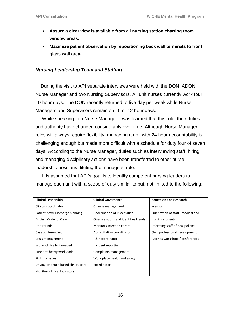- **Assure a clear view is available from all nursing station charting room window areas.**
- **Maximize patient observation by repositioning back wall terminals to front glass wall area.**

#### *Nursing Leadership Team and Staffing*

 During the visit to API separate interviews were held with the DON, ADON, Nurse Manager and two Nursing Supervisors. All unit nurses currently work four 10-hour days. The DON recently returned to five day per week while Nurse Managers and Supervisors remain on 10 or 12 hour days.

 While speaking to a Nurse Manager it was learned that this role, their duties and authority have changed considerably over time. Although Nurse Manager roles will always require flexibility, managing a unit with 24 hour accountability is challenging enough but made more difficult with a schedule for duty four of seven days. According to the Nurse Manager, duties such as interviewing staff, hiring and managing disciplinary actions have been transferred to other nurse leadership positions diluting the managers' role.

 It is assumed that API's goal is to identify competent nursing leaders to manage each unit with a scope of duty similar to but, not limited to the following:

| <b>Clinical Leadership</b>           | <b>Clinical Governance</b>           | <b>Education and Research</b>     |
|--------------------------------------|--------------------------------------|-----------------------------------|
| Clinical coordinator                 | Change management                    | Mentor                            |
| Patient flow/ Discharge planning     | Coordination of PI activities        | Orientation of staff, medical and |
| Driving Model of Care                | Oversee audits and identifies trends | nursing students                  |
| Unit rounds                          | Monitors infection control           | Informing staff of new policies   |
| Case conferencing                    | Accreditation coordinator            | Own professional development      |
| Crisis management                    | P&P coordinator                      | Attends workshops/conferences     |
| Works clinically if needed           | Incident reporting                   |                                   |
| Supports heavy workloads             | Complaints management                |                                   |
| Skill mix issues                     | Work place health and safety         |                                   |
| Driving Evidence-based clinical care | coordinator                          |                                   |
| <b>Monitors clinical Indicators</b>  |                                      |                                   |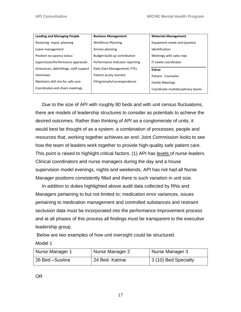| <b>Leading and Managing People</b>     | <b>Business Management</b>      | <b>Materials Management</b>        |
|----------------------------------------|---------------------------------|------------------------------------|
| Rostering -input, planning             | <b>Workforce Planning</b>       | Equipment needs and (quotes)       |
| Leave management                       | Service planning                | identification                     |
| Position occupancy status              | Budget build-up contribution    | Meetings with sales reps           |
| Supervision/Performance appraisals     | Performance Indicator reporting | IT needs coordinator               |
| Grievances, debriefings, staff support | Daily Data Management/FTEs      | <b>Extras</b>                      |
| <b>Interviews</b>                      | Patient acuity monitor          | Patient - Counselor                |
| Maintains skill mix for safe care      | Filing/emails/correspondence    | <b>Family Meetings</b>             |
| Coordinates and chairs meetings        |                                 | Coordinate multidisciplinary teams |

 Due to the size of API with roughly 80 beds and with unit census fluctuations, there are models of leadership structures to consider as potentials to achieve the desired outcomes. Rather than thinking of API as a conglomerate of units, it would best be thought of as a system, a combination of processes, people and resources that, working together achieves an end. Joint Commission looks to see how the team of leaders work together to provide high-quality safe patient care. This point is raised to highlight critical factors. (1) API has levels of nurse leaders. Clinical coordinators and nurse managers during the day and a house supervision model evenings, nights and weekends. API has not had all Nurse Manager positions consistently filled and there is such variation in unit size.

 In addition to duties highlighted above audit data collected by RNs and Managers pertaining to but not limited to; medication error variances, issues pertaining to medication management and controlled substances and restraint seclusion data must be incorporated into the performance improvement process and at all phases of this process all findings must be transparent to the executive leadership group.

Below are two examples of how unit oversight could be structured.

Model 1

| Nurse Manager 1 | Nurse Manager 2 | Nurse Manager 3      |
|-----------------|-----------------|----------------------|
| 26 Bed -Susitna | 24 Bed- Katmai  | 3 (10) Bed Specialty |

OR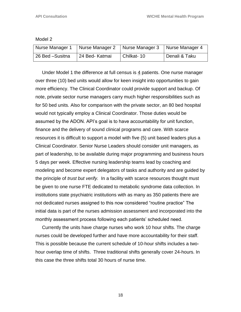| Model 2 |  |
|---------|--|
|         |  |

| Nurse Manager 1   Nurse Manager 2 |                | Nurse Manager 3   Nurse Manager 4 |                            |
|-----------------------------------|----------------|-----------------------------------|----------------------------|
| 26 Bed -Susitna                   | 24 Bed- Katmai | Chilkat-10                        | <sup>1</sup> Denali & Taku |

 Under Model 1 the difference at full census is 4 patients. One nurse manager over three (10) bed units would allow for keen insight into opportunities to gain more efficiency. The Clinical Coordinator could provide support and backup. Of note, private sector nurse managers carry much higher responsibilities such as for 50 bed units. Also for comparison with the private sector, an 80 bed hospital would not typically employ a Clinical Coordinator. Those duties would be assumed by the ADON. API's goal is to have accountability for unit function, finance and the delivery of sound clinical programs and care. With scarce resources it is difficult to support a model with five (5) unit based leaders plus a Clinical Coordinator. Senior Nurse Leaders should consider unit managers, as part of leadership, to be available during major programming and business hours 5 days per week. Effective nursing leadership teams lead by coaching and modeling and become expert delegators of tasks and authority and are guided by the principle of *trust but verify.* In a facility with scarce resources thought must be given to one nurse FTE dedicated to metabolic syndrome data collection. In institutions state psychiatric institutions with as many as 350 patients there are not dedicated nurses assigned to this now considered "routine practice" The initial data is part of the nurses admission assessment and incorporated into the monthly assessment process following each patients' scheduled need.

 Currently the units have charge nurses who work 10 hour shifts. The charge nurses could be developed further and have more accountability for their staff. This is possible because the current schedule of 10-hour shifts includes a twohour overlap time of shifts. Three traditional shifts generally cover 24-hours. In this case the three shifts total 30 hours of nurse time.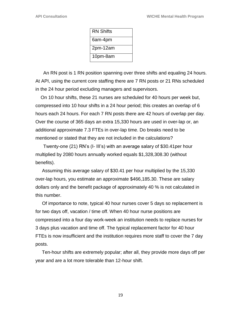| <b>RN Shifts</b> |
|------------------|
| 6am-4pm          |
| 2pm-12am         |
| 10pm-8am         |

 An RN post is 1 RN position spanning over three shifts and equaling 24 hours. At API, using the current core staffing there are 7 RN posts or 21 RNs scheduled in the 24 hour period excluding managers and supervisors.

 On 10 hour shifts, these 21 nurses are scheduled for 40 hours per week but, compressed into 10 hour shifts in a 24 hour period; this creates an overlap of 6 hours each 24 hours. For each 7 RN posts there are 42 hours of overlap per day. Over the course of 365 days an extra 15,330 hours are used in over-lap or, an additional approximate 7.3 FTEs in over-lap time. Do breaks need to be mentioned or stated that they are not included in the calculations?

 Twenty-one (21) RN's (I- III's) with an average salary of \$30.41per hour multiplied by 2080 hours annually worked equals \$1,328,308.30 (without benefits).

 Assuming this average salary of \$30.41 per hour multiplied by the 15,330 over-lap hours, you estimate an approximate \$466,185.30. These are salary dollars only and the benefit package of approximately 40 % is not calculated in this number.

 Of importance to note, typical 40 hour nurses cover 5 days so replacement is for two days off, vacation / time off. When 40 hour nurse positions are compressed into a four day work-week an institution needs to replace nurses for 3 days plus vacation and time off. The typical replacement factor for 40 hour FTEs is now insufficient and the institution requires more staff to cover the 7 day posts.

 Ten-hour shifts are extremely popular; after all, they provide more days off per year and are a lot more tolerable than 12-hour shift.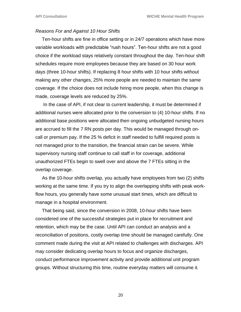#### *Reasons For and Against 10 Hour Shifts*

 Ten-hour shifts are fine in office setting or in 24/7 operations which have more variable workloads with predictable "rush hours". Ten-hour shifts are not a good choice if the workload stays relatively constant throughout the day. Ten-hour shift schedules require more employees because they are based on 30 hour work days (three 10-hour shifts). If replacing 8 hour shifts with 10 hour shifts without making any other changes, 25% more people are needed to maintain the same coverage. If the choice does not include hiring more people, when this change is made, coverage levels are reduced by 25%.

 In the case of API, if not clear to current leadership, it must be determined if additional nurses were allocated prior to the conversion to (4) 10-hour shifts. If no additional base positions were allocated then ongoing unbudgeted nursing hours are accrued to fill the 7 RN posts per day. This would be managed through oncall or premium pay. If the 25 % deficit in staff needed to fulfill required posts is not managed prior to the transition, the financial strain can be severe. While supervisory nursing staff continue to call staff in for coverage, additional unauthorized FTEs begin to swell over and above the 7 FTEs sitting in the overlap coverage.

 As the 10-hour shifts overlap, you actually have employees from two (2) shifts working at the same time. If you try to align the overlapping shifts with peak workflow hours, you generally have some unusual start times, which are difficult to manage in a hospital environment.

 That being said, since the conversion in 2008, 10-hour shifts have been considered one of the successful strategies put in place for recruitment and retention, which may be the case. Until API can conduct an analysis and a reconciliation of positions, costly overlap time should be managed carefully. One comment made during the visit at API related to challenges with discharges. API may consider dedicating overlap hours to focus and organize discharges, conduct performance improvement activity and provide additional unit program groups. Without structuring this time, routine everyday matters will consume it.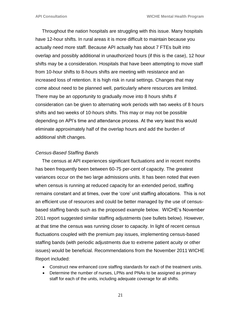Throughout the nation hospitals are struggling with this issue. Many hospitals have 12-hour shifts. In rural areas it is more difficult to maintain because you actually need more staff. Because API actually has about 7 FTEs built into overlap and possibly additional in unauthorized hours (if this is the case), 12 hour shifts may be a consideration. Hospitals that have been attempting to move staff from 10-hour shifts to 8-hours shifts are meeting with resistance and an increased loss of retention. It is high risk in rural settings. Changes that may come about need to be planned well, particularly where resources are limited. There may be an opportunity to gradually move into 8 hours shifts if consideration can be given to alternating work periods with two weeks of 8 hours shifts and two weeks of 10-hours shifts. This may or may not be possible depending on API's time and attendance process. At the very least this would eliminate approximately half of the overlap hours and add the burden of additional shift changes.

#### *Census-Based Staffing Bands*

 The census at API experiences significant fluctuations and in recent months has been frequently been between 60-75 per-cent of capacity. The greatest variances occur on the two large admissions units. It has been noted that even when census is running at reduced capacity for an extended period, staffing remains constant and at times, over the 'core' unit staffing allocations. This is not an efficient use of resources and could be better managed by the use of censusbased staffing bands such as the proposed example below. WICHE's November 2011 report suggested similar staffing adjustments (see bullets below). However, at that time the census was running closer to capacity. In light of recent census fluctuations coupled with the premium pay issues, implementing census-based staffing bands (with periodic adjustments due to extreme patient acuity or other issues) would be beneficial. Recommendations from the November 2011 WICHE Report included:

- Construct new enhanced core staffing standards for each of the treatment units.
- Determine the number of nurses, LPNs and PNAs to be assigned as primary staff for each of the units, including adequate coverage for all shifts.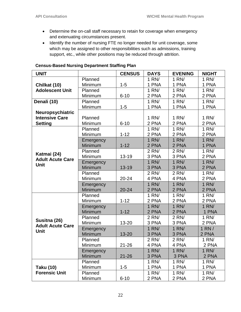- Determine the on-call staff necessary to retain for coverage when emergency and extenuating circumstances present.
- Identify the number of nursing FTE no longer needed for unit coverage, some which may be assigned to other responsibilities such as admissions, training support, etc., while other positions may be reduced through attrition.

| <b>UNIT</b>                              |           | <b>CENSUS</b> | <b>DAYS</b> | <b>EVENING</b> | <b>NIGHT</b>       |
|------------------------------------------|-----------|---------------|-------------|----------------|--------------------|
| Chilkat (10)<br><b>Adolescent Unit</b>   | Planned   |               | 1 RN/       | 1 RN/          | 1 R N/             |
|                                          | Minimum   | $1 - 5$       | 1 PNA       | 1 PNA          | 1 PNA              |
|                                          | Planned   |               | 1 RN/       | $1$ RN $/$     | $1$ RN $/$         |
|                                          | Minimum   | $6 - 10$      | 2 PNA       | 2 PNA          | 2 PNA              |
| Denali (10)                              | Planned   |               | 1 RN/       | 1 RN/          | $\overline{1}$ RN/ |
|                                          | Minimum   | $1 - 5$       | 1 PNA       | 1 PNA          | 1 PNA              |
| Neuropsychiatric                         |           |               |             |                |                    |
| <b>Intensive Care</b>                    | Planned   |               | 1 RN/       | 1 RN/          | 1 RN/              |
| <b>Setting</b>                           | Minimum   | $6 - 10$      | 2 PNA       | 2 PNA          | 2 PNA              |
|                                          | Planned   |               | 1 RN/       | 1 RN/          | 1 RN/              |
|                                          | Minimum   | $1 - 12$      | 2 PNA       | 2 PNA          | 2 PNA              |
|                                          | Emergency |               | 1 RN/       | 1 RN/          | 1 RN/              |
|                                          | Minimum   | $1 - 12$      | 2 PNA       | 2 PNA          | 1 PNA              |
|                                          | Planned   |               | 2 RN/       | 2 RN/          | $\overline{1}$ RN/ |
| Katmai (24)                              | Minimum   | $13 - 19$     | 3 PNA       | 3 PNA          | 2 PNA              |
| <b>Adult Acute Care</b>                  | Emergency |               | 1 RN/       | 1 RN/          | 1 RN/              |
| <b>Unit</b>                              | Minimum   | $13 - 19$     | 3 PNA       | 3 PNA          | 2 PNA              |
|                                          | Planned   |               | 2 RN/       | 2 RN/          | 1 RN/              |
|                                          | Minimum   | $20 - 24$     | 4 PNA       | 4 PNA          | 2 PNA              |
|                                          | Emergency |               | 1 RN/       | 1 RN/          | 1 RN/              |
|                                          | Minimum   | $20 - 24$     | 2 PNA       | 2 PNA          | 2 PNA              |
|                                          | Planned   |               | 1 RN/       | 1 RN/          | 1 R N/             |
|                                          | Minimum   | $1 - 12$      | 2 PNA       | 2 PNA          | 2 PNA              |
|                                          | Emergency |               | 1 RN/       | 1 RN/          | 1 RN/              |
|                                          | Minimum   | $1 - 12$      | 2 PNA       | 2 PNA          | 1 PNA              |
|                                          | Planned   |               | 2 RN/       | 2 RN/          | 1 R N/             |
| Susitna (26)                             | Minimum   | 13-20         | 3 PNA       | 3 PNA          | 2 PNA              |
| <b>Adult Acute Care</b>                  | Emergency |               | 1 RN/       | 1 RN/          | 1 RN/              |
| <b>Unit</b>                              | Minimum   | 13-20         | 3 PNA       | 3 PNA          | 2 PNA              |
|                                          | Planned   |               | 2 RN/       | 2 RN/          | 1 RN/              |
|                                          | Minimum   | $21 - 26$     | 4 PNA       | 4 PNA          | 2 PNA              |
|                                          | Emergency |               | 1 RN/       | 1 RN/          | 1 R N/             |
|                                          | Minimum   | $21 - 26$     | 3 PNA       | 3 PNA          | 2 PNA              |
| <b>Taku (10)</b><br><b>Forensic Unit</b> | Planned   |               | 1 RN/       | 1 RN/          | 1 R N/             |
|                                          | Minimum   | $1 - 5$       | 1 PNA       | 1 PNA          | 1 PNA              |
|                                          | Planned   |               | $1$ RN $/$  | 1 RN/          | $1$ RN $/$         |
|                                          | Minimum   | $6 - 10$      | 2 PNA       | 2 PNA          | 2 PNA              |

## **Census-Based Nursing Department Staffing Plan**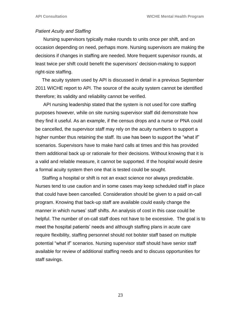#### *Patient Acuity and Staffing*

 Nursing supervisors typically make rounds to units once per shift, and on occasion depending on need, perhaps more. Nursing supervisors are making the decisions if changes in staffing are needed. More frequent supervisor rounds, at least twice per shift could benefit the supervisors' decision-making to support right-size staffing.

 The acuity system used by API is discussed in detail in a previous September 2011 WICHE report to API. The source of the acuity system cannot be identified therefore; its validity and reliability cannot be verified.

 API nursing leadership stated that the system is not used for core staffing purposes however, while on site nursing supervisor staff did demonstrate how they find it useful. As an example, if the census drops and a nurse or PNA could be cancelled, the supervisor staff may rely on the acuity numbers to support a higher number thus retaining the staff. Its use has been to support the "what if" scenarios. Supervisors have to make hard calls at times and this has provided them additional back up or rationale for their decisions. Without knowing that it is a valid and reliable measure, it cannot be supported. If the hospital would desire a formal acuity system then one that is tested could be sought.

 Staffing a hospital or shift is not an exact science nor always predictable. Nurses tend to use caution and in some cases may keep scheduled staff in place that could have been cancelled. Consideration should be given to a paid on-call program. Knowing that back-up staff are available could easily change the manner in which nurses' staff shifts. An analysis of cost in this case could be helpful. The number of on-call staff does not have to be excessive. The goal is to meet the hospital patients' needs and although staffing plans in acute care require flexibility, staffing personnel should not bolster staff based on multiple potential "what if" scenarios. Nursing supervisor staff should have senior staff available for review of additional staffing needs and to discuss opportunities for staff savings.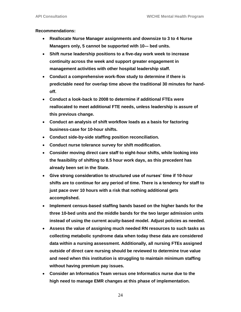#### **Recommendations:**

- **Reallocate Nurse Manager assignments and downsize to 3 to 4 Nurse Managers only, 5 cannot be supported with 10-– bed units.**
- **Shift nurse leadership positions to a five-day work week to increase continuity across the week and support greater engagement in management activities with other hospital leadership staff.**
- **Conduct a comprehensive work-flow study to determine if there is predictable need for overlap time above the traditional 30 minutes for handoff.**
- **Conduct a look-back to 2008 to determine if additional FTEs were reallocated to meet additional FTE needs, unless leadership is assure of this previous change.**
- **Conduct an analysis of shift workflow loads as a basis for factoring business-case for 10-hour shifts.**
- **Conduct side-by-side staffing position reconciliation.**
- **Conduct nurse tolerance survey for shift modification.**
- **Consider moving direct care staff to eight-hour shifts, while looking into the feasibility of shifting to 8.5 hour work days, as this precedent has already been set in the State.**
- **Give strong consideration to structured use of nurses' time if 10-hour shifts are to continue for any period of time. There is a tendency for staff to just pace over 10 hours with a risk that nothing additional gets accomplished.**
- **Implement census-based staffing bands based on the higher bands for the three 10-bed units and the middle bands for the two larger admission units instead of using the current acuity-based model. Adjust policies as needed.**
- **Assess the value of assigning much needed RN resources to such tasks as collecting metabolic syndrome data when today these data are considered data within a nursing assessment. Additionally, all nursing FTEs assigned outside of direct care nursing should be reviewed to determine true value and need when this institution is struggling to maintain minimum staffing without having premium pay issues.**
- **Consider an Informatics Team versus one Informatics nurse due to the high need to manage EMR changes at this phase of implementation.**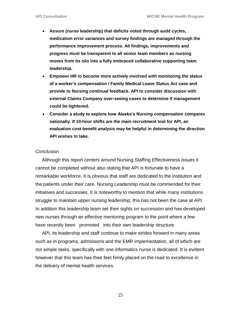- **Assure (nurse leadership) that deficits noted through audit cycles, medication error variances and survey findings are managed through the performance improvement process. All findings, improvements and progress must be transparent to all senior team members as nursing moves from its silo into a fully embraced collaborative supporting team leadership.**
- **Empower HR to become more actively involved with monitoring the status of a worker's compensation / Family Medical Leave Status Act case and provide to Nursing continual feedback. API to consider discussion with external Claims Company over-seeing cases to determine if management could be tightened.**
- **Consider a study to explore how Alaska's Nursing compensation compares nationally. If 10-hour shifts are the main recruitment tool for API, an evaluation cost-benefit analysis may be helpful in determining the direction API wishes to take.**

#### *Conclusion*

 Although this report centers around Nursing Staffing Effectiveness issues it cannot be completed without also stating that API is fortunate to have a remarkable workforce. It is obvious that staff are dedicated to the institution and the patients under their care. Nursing Leadership must be commended for their initiatives and successes. It is noteworthy to mention that while many institutions struggle to maintain upper nursing leadership; this has not been the case at API. In addition this leadership team set their sights on succession and has developed new nurses through an effective mentoring program to the point where a few have recently been promoted into their own leadership structure.

 API, its leadership and staff continue to make strides forward in many areas such as in programs, admissions and the EMR implementation, all of which are not simple tasks, specifically with one informatics nurse is dedicated. It is evident however that this team has their feet firmly placed on the road to excellence in the delivery of mental health services.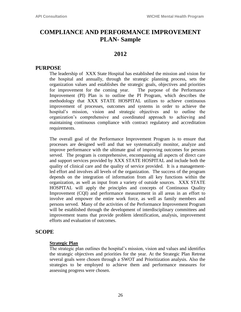## **COMPLIANCE AND PERFORMANCE IMPROVEMENT PLAN- Sample**

## **2012**

## **PURPOSE**

The leadership of XXX State Hospital has established the mission and vision for the hospital and annually, through the strategic planning process, sets the organization values and establishes the strategic goals, objectives and priorities for improvement for the coming year. The purpose of the Performance Improvement (PI) Plan is to outline the PI Program, which describes the methodology that XXX STATE HOSPITAL utilizes to achieve continuous improvement of processes, outcomes and systems in order to achieve the hospital's mission, vision and strategic objectives and to outline the organization's comprehensive and coordinated approach to achieving and maintaining continuous compliance with contract regulatory and accreditation requirements.

The overall goal of the Performance Improvement Program is to ensure that processes are designed well and that we systematically monitor, analyze and improve performance with the ultimate goal of improving outcomes for persons served. The program is comprehensive, encompassing all aspects of direct care and support services provided by XXX STATE HOSPITAL and include both the quality of clinical care and the quality of service provided. It is a managementled effort and involves all levels of the organization. The success of the program depends on the integration of information from all key functions within the organization, as well as input from a variety of outside sources. XXX STATE HOSPITAL will apply the principles and concepts of Continuous Quality Improvement (CQI) and performance measurement in all areas in an effort to involve and empower the entire work force, as well as family members and persons served. Many of the activities of the Performance Improvement Program will be established through the development of interdisciplinary committees and improvement teams that provide problem identification, analysis, improvement efforts and evaluation of outcomes.

## **SCOPE**

#### **Strategic Plan**

The strategic plan outlines the hospital's mission, vision and values and identifies the strategic objectives and priorities for the year. At the Strategic Plan Retreat several goals were chosen through a SWOT and Prioritization analysis. Also the strategies to be employed to achieve them and performance measures for assessing progress were chosen.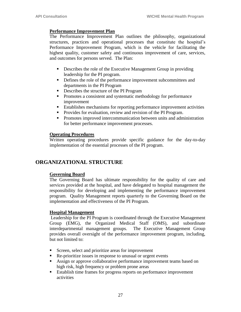#### **Performance Improvement Plan**

The Performance Improvement Plan outlines the philosophy, organizational structures, practices and operational processes that constitute the hospital's Performance Improvement Program, which is the vehicle for facilitating the highest quality, customer safety and continuous improvement of care, services, and outcomes for persons served. The Plan:

- Describes the role of the Executive Management Group in providing leadership for the PI program.
- Defines the role of the performance improvement subcommittees and departments in the PI Program
- Describes the structure of the PI Program
- **Promotes a consistent and systematic methodology for performance** improvement
- Establishes mechanisms for reporting performance improvement activities
- **Provides for evaluation, review and revision of the PI Program.**
- **Promotes improved intercommunication between units and administration** for better performance improvement processes.

### **Operating Procedures**

Written operating procedures provide specific guidance for the day-to-day implementation of the essential processes of the PI program.

## **ORGANIZATIONAL STRUCTURE**

## **Governing Board**

The Governing Board has ultimate responsibility for the quality of care and services provided at the hospital, and have delegated to hospital management the responsibility for developing and implementing the performance improvement program. Quality Management reports quarterly to the Governing Board on the implementation and effectiveness of the PI Program.

#### **Hospital Management**

Leadership for the PI Program is coordinated through the Executive Management Group (EMG), the Organized Medical Staff (OMS), and subordinate interdepartmental management groups. The Executive Management Group provides overall oversight of the performance improvement program, including, but not limited to:

- Screen, select and prioritize areas for improvement
- Re-prioritize issues in response to unusual or urgent events
- Assign or approve collaborative performance improvement teams based on high risk, high frequency or problem prone areas
- Establish time frames for progress reports on performance improvement activities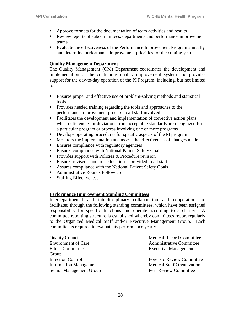- Approve formats for the documentation of team activities and results
- Review reports of subcommittees, departments and performance improvement teams
- Evaluate the effectiveness of the Performance Improvement Program annually and determine performance improvement priorities for the coming year.

#### **Quality Management Department**

The Quality Management (QM) Department coordinates the development and implementation of the continuous quality improvement system and provides support for the day-to-day operation of the PI Program, including, but not limited to:

- Ensures proper and effective use of problem-solving methods and statistical tools
- **Provides needed training regarding the tools and approaches to the** performance improvement process to all staff involved
- Facilitates the development and implementation of corrective action plans when deficiencies or deviations from acceptable standards are recognized for a particular program or process involving one or more programs
- Develops operating procedures for specific aspects of the PI program
- Monitors the implementation and assess the effectiveness of changes made
- **Ensures compliance with regulatory agencies**
- **Ensures compliance with National Patient Safety Goals**
- Provides support with Policies  $&$  Procedure revision
- Ensures revised standards education is provided to all staff
- Assures compliance with the National Patient Safety Goals
- Administrative Rounds Follow up
- Staffing Effectiveness

#### **Performance Improvement Standing Committees**

Interdepartmental and interdisciplinary collaboration and cooperation are facilitated through the following standing committees, which have been assigned responsibility for specific functions and operate according to a charter. A committee reporting structure is established whereby committees report regularly to the Organized Medical Staff and/or Executive Management Group. Each committee is required to evaluate its performance yearly.

| <b>Quality Council</b>        | <b>Medical Record Committee</b>   |
|-------------------------------|-----------------------------------|
| <b>Environment of Care</b>    | <b>Administrative Committee</b>   |
| <b>Ethics Committee</b>       | <b>Executive Management</b>       |
| Group                         |                                   |
| <b>Infection Control</b>      | <b>Forensic Review Committee</b>  |
| <b>Information Management</b> | <b>Medical Staff Organization</b> |
| Senior Management Group       | Peer Review Committee             |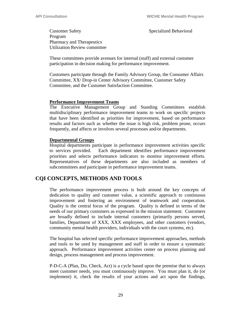Customer Safety Specialized Behavioral Program Pharmacy and Therapeutics Utilization Review committee

These committees provide avenues for internal (staff) and external customer participation in decision making for performance improvement.

Customers participate through the Family Advisory Group, the Consumer Affairs Committee, XX/ Drop-in Center Advisory Committee, Customer Safety Committee, and the Customer Satisfaction Committee.

#### **Performance Improvement Teams**

The Executive Management Group and Standing Committees establish multidisciplinary performance improvement teams to work on specific projects that have been identified as priorities for improvement, based on performance results and factors such as whether the issue is high risk, problem prone, occurs frequently, and affects or involves several processes and/or departments.

#### **Departmental Groups**

Hospital departments participate in performance improvement activities specific to services provided. Each department identifies performance improvement priorities and selects performance indicators to monitor improvement efforts. Representatives of these departments are also included as members of subcommittees and participate in performance improvement teams.

## **CQI CONCEPTS, METHODS AND TOOLS**

The performance improvement process is built around the key concepts of dedication to quality and customer value, a scientific approach to continuous improvement and fostering an environment of teamwork and cooperation. Quality is the central focus of the program. Quality is defined in terms of the needs of our primary customers as expressed in the mission statement. Customers are broadly defined to include internal customers (primarily persons served, families, Department of XXX, XXX employees, and other customers (vendors, community mental health providers, individuals with the court systems, etc).

The hospital has selected specific performance improvement approaches, methods and tools to be used by management and staff in order to ensure a systematic approach. Performance improvement activities center on process planning and design, process management and process improvement.

P-D-C-A (Plan, Do, Check, Act) is a cycle based upon the premise that to always meet customer needs, you must continuously improve. You must plan it, do (or implement) it, check the results of your actions and act upon the findings,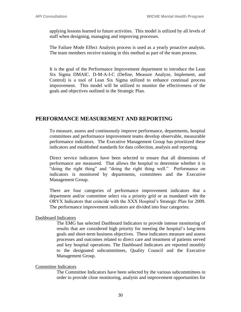applying lessons learned to future activities. This model is utilized by all levels of staff when designing, managing and improving processes.

The Failure Mode Effect Analysis process is used as a yearly proactive analysis. The team members receive training in this method as part of the team process.

It is the goal of the Performance Improvement department to introduce the Lean Six Sigma DMAIC. D-M-A-I-C (Define, Measure Analyze, Implement, and Control) is a tool of Lean Six Sigma utilized to enhance continual process improvement. This model will be utilized to monitor the effectiveness of the goals and objectives outlined in the Strategic Plan.

## **PERFORMANCE MEASUREMENT AND REPORTING**

To measure, assess and continuously improve performance, departments, hospital committees and performance improvement teams develop observable, measurable performance indicators. The Executive Management Group has prioritized these indicators and established standards for data collection, analysis and reporting.

Direct service indicators have been selected to ensure that all dimensions of performance are measured. That allows the hospital to determine whether it is "doing the right thing" and "doing the right thing well." Performance on indicators is monitored by departments, committees and the Executive Management Group.

There are four categories of performance improvement indicators that a department and/or committee select via a priority grid or as mandated with the ORYX Indicators that coincide with the XXX Hospital's Strategic Plan for 2009. The performance improvement indicators are divided into four categories:

#### Dashboard Indicators

The EMG has selected Dashboard Indicators to provide intense monitoring of results that are considered high priority for meeting the hospital's long-term goals and short-term business objectives. These indicators measure and assess processes and outcomes related to direct care and treatment of patients served and key hospital operations. The Dashboard Indicators are reported monthly to the designated subcommittees, Quality Council and the Executive Management Group.

#### Committee Indicators

The Committee Indicators have been selected by the various subcommittees in order to provide close monitoring, analysis and improvement opportunities for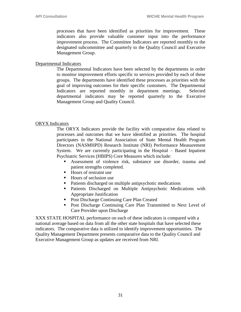processes that have been identified as priorities for improvement. These indicators also provide valuable customer input into the performance improvement process. The Committee Indicators are reported monthly to the designated subcommittee and quarterly to the Quality Council and Executive Management Group.

#### Departmental Indicators

The Departmental Indicators have been selected by the departments in order to monitor improvement efforts specific to services provided by each of these groups. The departments have identified these processes as priorities with the goal of improving outcomes for their specific customers. The Departmental Indicators are reported monthly in department meetings. Selected departmental indicators may be reported quarterly to the Executive Management Group and Quality Council.

#### ORYX Indicators

The ORYX Indicators provide the facility with comparative data related to processes and outcomes that we have identified as priorities. The hospital participates in the National Association of State Mental Health Program Directors (NASMHPD) Research Institute (NRI) Performance Measurement System. We are currently participating in the Hospital – Based Inpatient Psychiatric Services (HBIPS) Core Measures which include:

- Assessment of violence risk, substance use disorder, trauma and patient strengths completed.
- Hours of restraint use
- $\blacksquare$  Hours of seclusion use
- Patients discharged on multiple antipsychotic medications
- **Patients Discharged on Multiple Antipsychotic Medications with** Appropriate Justification
- Post Discharge Continuing Care Plan Created
- Post Discharge Continuing Care Plan Transmitted to Next Level of Care Provider upon Discharge

XXX STATE HOSPITAL performance on each of these indicators is compared with a national average based on data from all the other state hospitals that have selected these indicators. The comparative data is utilized to identify improvement opportunities. The Quality Management Department presents comparative data to the Quality Council and Executive Management Group as updates are received from NRI.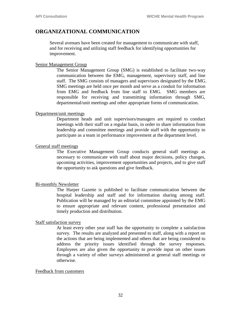## **ORGANIZATIONAL COMMUNICATION**

Several avenues have been created for management to communicate with staff, and for receiving and utilizing staff feedback for identifying opportunities for improvement.

#### Senior Management Group

The Senior Management Group (SMG) is established to facilitate two-way communication between the EMG, management, supervisory staff, and line staff. The SMG consists of managers and supervisors designated by the EMG. SMG meetings are held once per month and serve as a conduit for information from EMG and feedback from line staff to EMG. SMG members are responsible for receiving and transmitting information through SMG, departmental/unit meetings and other appropriate forms of communication.

#### Department/unit meetings

Department heads and unit supervisors/managers are required to conduct meetings with their staff on a regular basis, in order to share information from leadership and committee meetings and provide staff with the opportunity to participate as a team in performance improvement at the department level.

#### General staff meetings

The Executive Management Group conducts general staff meetings as necessary to communicate with staff about major decisions, policy changes, upcoming activities, improvement opportunities and projects, and to give staff the opportunity to ask questions and give feedback.

#### Bi-monthly Newsletter

The Harper Gazette is published to facilitate communication between the hospital leadership and staff and for information sharing among staff. Publication will be managed by an editorial committee appointed by the EMG to ensure appropriate and relevant content, professional presentation and timely production and distribution.

#### Staff satisfaction survey

At least every other year staff has the opportunity to complete a satisfaction survey. The results are analyzed and presented to staff, along with a report on the actions that are being implemented and others that are being considered to address the priority issues identified through the survey responses. Employees are also given the opportunity to provide input on other issues through a variety of other surveys administered at general staff meetings or otherwise.

#### Feedback from customers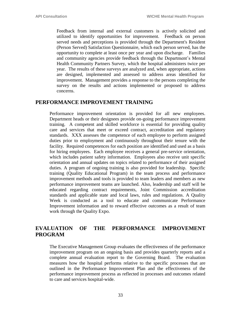Feedback from internal and external customers is actively solicited and utilized to identify opportunities for improvement. Feedback on person served needs and perceptions is provided through the Department's Resident (Person Served) Satisfaction Questionnaire, which each person served, has the opportunity to complete at least once per year and upon discharge. Families and community agencies provide feedback through the Department's Mental Health Community Partners Survey, which the hospital administers twice per year. The results of these surveys are analyzed and, when appropriate, actions are designed, implemented and assessed to address areas identified for improvement. Management provides a response to the persons completing the survey on the results and actions implemented or proposed to address concerns.

## **PERFORMANCE IMPROVEMENT TRAINING**

Performance improvement orientation is provided for all new employees. Department heads or their designees provide on-going performance improvement training. A competent and skilled workforce is essential for providing quality care and services that meet or exceed contract, accreditation and regulatory standards. XXX assesses the competence of each employee to perform assigned duties prior to employment and continuously throughout their tenure with the facility. Required competences for each position are identified and used as a basis for hiring employees. Each employee receives a general pre-service orientation, which includes patient safety information. Employees also receive unit specific orientation and annual updates on topics related to performance of their assigned duties. A program of ongoing training is also provided for leadership. Specific training (Quality Educational Program) in the team process and performance improvement methods and tools is provided to team leaders and members as new performance improvement teams are launched. Also, leadership and staff will be educated regarding contract requirements, Joint Commission accreditation standards and applicable state and local laws, rules and regulations. A Quality Week is conducted as a tool to educate and communicate Performance Improvement information and to reward effective outcomes as a result of team work through the Quality Expo.

## **EVALUATION OF THE PERFORMANCE IMPROVEMENT PROGRAM**

The Executive Management Group evaluates the effectiveness of the performance improvement program on an ongoing basis and provides quarterly reports and a complete annual evaluation report to the Governing Board. The evaluation measures how the hospital performs relative to the specific processes that are outlined in the Performance Improvement Plan and the effectiveness of the performance improvement process as reflected in processes and outcomes related to care and services hospital-wide.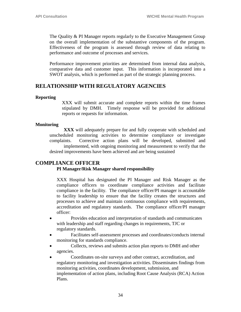The Quality & PI Manager reports regularly to the Executive Management Group on the overall implementation of the substantive components of the program. Effectiveness of the program is assessed through review of data relating to performance and outcome of processes and services.

Performance improvement priorities are determined from internal data analysis, comparative data and customer input. This information is incorporated into a SWOT analysis, which is performed as part of the strategic planning process.

## **RELATIONSHIP WITH REGULATORY AGENCIES**

#### **Reporting**

XXX will submit accurate and complete reports within the time frames stipulated by DMH. Timely response will be provided for additional reports or requests for information.

#### **Monitoring**

**XXX** will adequately prepare for and fully cooperate with scheduled and unscheduled monitoring activities to determine compliance or investigate complaints. Corrective action plans will be developed, submitted and implemented, with ongoing monitoring and measurement to verify that the desired improvements have been achieved and are being sustained

## **COMPLIANCE OFFICER**

#### **PI Manager/Risk Manager shared responsibility**

XXX Hospital has designated the PI Manager and Risk Manager as the compliance officers to coordinate compliance activities and facilitate compliance in the facility. The compliance officer/PI manager is accountable to facility leadership to ensure that the facility creates the structures and processes to achieve and maintain continuous compliance with requirements, accreditation and regulatory standards. The compliance officer/PI manager officer:

- Provides education and interpretation of standards and communicates with leadership and staff regarding changes in requirements, TJC or regulatory standards.
- Facilitates self-assessment processes and coordinates/conducts internal monitoring for standards compliance.
- Collects, reviews and submits action plan reports to DMH and other agencies.
- Coordinates on-site surveys and other contract, accreditation, and regulatory monitoring and investigation activities. Disseminates findings from monitoring activities, coordinates development, submission, and implementation of action plans, including Root Cause Analysis (RCA) Action Plans.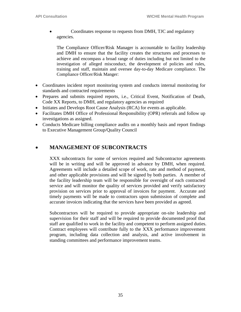Coordinates response to requests from DMH, TJC and regulatory agencies.

The Compliance Officer/Risk Manager is accountable to facility leadership and DMH to ensure that the facility creates the structures and processes to achieve and encompass a broad range of duties including but not limited to the investigation of alleged misconduct, the development of policies and rules, training and staff, maintain and oversee day-to-day Medicare compliance. The Compliance Officer/Risk Manger:

- Coordinates incident report monitoring system and conducts internal monitoring for standards and contracted requirements
- Prepares and submits required reports, i.e., Critical Event, Notification of Death, Code XX Reports, to DMH, and regulatory agencies as required
- Initiates and Develops Root Cause Analysis (RCA) for events as applicable.
- Facilitates DMH Office of Professional Responsibility (OPR) referrals and follow up investigations as assigned.
- Conducts Medicare billing compliance audits on a monthly basis and report findings to Executive Management Group/Quality Council

## **MANAGEMENT OF SUBCONTRACTS**

XXX subcontracts for some of services required and Subcontractor agreements will be in writing and will be approved in advance by DMH, when required. Agreements will include a detailed scope of work, rate and method of payment, and other applicable provisions and will be signed by both parties. A member of the facility leadership team will be responsible for oversight of each contracted service and will monitor the quality of services provided and verify satisfactory provision on services prior to approval of invoices for payment. Accurate and timely payments will be made to contractors upon submission of complete and accurate invoices indicating that the services have been provided as agreed.

Subcontractors will be required to provide appropriate on-site leadership and supervision for their staff and will be required to provide documented proof that staff are qualified to work in the facility and competent to perform assigned duties. Contract employees will contribute fully to the XXX performance improvement program, including data collection and analysis, and active involvement in standing committees and performance improvement teams.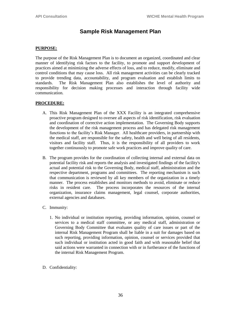## **Sample Risk Management Plan**

#### **PURPOSE:**

The purpose of the Risk Management Plan is to document an organized, coordinated and clear manner of identifying risk factors to the facility, to promote and support development of practices aimed at minimizing the adverse effects of loss, and to reduce, modify, eliminate and control conditions that may cause loss. All risk management activities can be clearly tracked to provide trending data, accountability, and program evaluation and establish limits to standards. The Risk Management Plan also establishes the level of authority and responsibility for decision making processes and interaction through facility wide communication.

#### **PROCEDURE:**

- A. This Risk Management Plan of the XXX Facility is an integrated comprehensive proactive program designed to oversee all aspects of risk identification, risk evaluation and coordination of corrective action implementation. The Governing Body supports the development of the risk management process and has delegated risk management functions to the facility's Risk Manager. All healthcare providers, in partnership with the medical staff, are responsible for the safety, health and well being of all residents, visitors and facility staff. Thus, it is the responsibility of all providers to work together continuously to promote safe work practices and improve quality of care.
- B. The program provides for the coordination of collecting internal and external data on potential facility risk and reports the analysis and investigated findings of the facility's actual and potential risk to the Governing Body, medical staff, administration and the respective department, programs and committees. The reporting mechanism is such that communication is reviewed by all key members of the organization in a timely manner. The process establishes and monitors methods to avoid, eliminate or reduce risks in resident care. The process incorporates the resources of the internal organization, insurance claims management, legal counsel, corporate authorities, external agencies and databases.
- C. Immunity:
	- 1. No individual or institution reporting, providing information, opinion, counsel or services to a medical staff committee, or any medical staff, administration or Governing Body Committee that evaluates quality of care issues or part of the internal Risk Management Program shall be liable in a suit for damages based on such reporting, providing information, opinion, counsel or services provided that such individual or institution acted in good faith and with reasonable belief that said actions were warranted in connection with or in furtherance of the functions of the internal Risk Management Program.
- D. Confidentiality: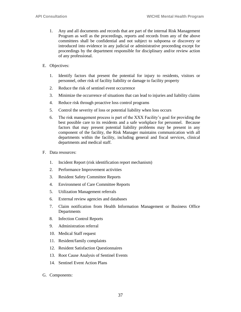- 1. Any and all documents and records that are part of the internal Risk Management Program as well as the proceedings, reports and records from any of the above committees shall be confidential and not subject to subpoena or discovery or introduced into evidence in any judicial or administrative proceeding except for proceedings by the department responsible for disciplinary and/or review action of any professional.
- E. Objectives:
	- 1. Identify factors that present the potential for injury to residents, visitors or personnel, other risk of facility liability or damage to facility property
	- 2. Reduce the risk of sentinel event occurrence
	- 3. Minimize the occurrence of situations that can lead to injuries and liability claims
	- 4. Reduce risk through proactive loss control programs
	- 5. Control the severity of loss or potential liability when loss occurs
	- 6. The risk management process is part of the XXX Facility's goal for providing the best possible care to its residents and a safe workplace for personnel. Because factors that may present potential liability problems may be present in any component of the facility, the Risk Manager maintains communication with all departments within the facility, including general and fiscal services, clinical departments and medical staff.
- F. Data resources:
	- 1. Incident Report (risk identification report mechanism)
	- 2. Performance Improvement activities
	- 3. Resident Safety Committee Reports
	- 4. Environment of Care Committee Reports
	- 5. Utilization Management referrals
	- 6. External review agencies and databases
	- 7. Claim notification from Health Information Management or Business Office **Departments**
	- 8. Infection Control Reports
	- 9. Administration referral
	- 10. Medical Staff request
	- 11. Resident/family complaints
	- 12. Resident Satisfaction Questionnaires
	- 13. Root Cause Analysis of Sentinel Events
	- 14. Sentinel Event Action Plans
- G. Components: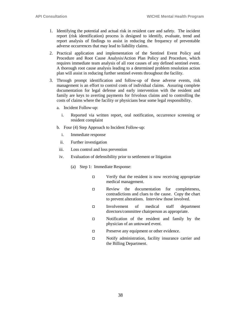- 1. Identifying the potential and actual risk in resident care and safety. The incident report (risk identification) process is designed to identify, evaluate, trend and report analysis of findings to assist in reducing the frequency of preventable adverse occurrences that may lead to liability claims.
- 2. Practical application and implementation of the Sentinel Event Policy and Procedure and Root Cause Analysis/Action Plan Policy and Procedure, which requires immediate team analysis of all root causes of any defined sentinel event. A thorough root cause analysis leading to a determined problem resolution action plan will assist in reducing further sentinel events throughout the facility.
- 3. Through prompt identification and follow-up of these adverse events, risk management is an effort to control costs of individual claims. Assuring complete documentation for legal defense and early intervention with the resident and family are keys to averting payments for frivolous claims and to controlling the costs of claims where the facility or physicians bear some legal responsibility.
	- a. Incident Follow-up:
		- i. Reported via written report, oral notification, occurrence screening or resident complaint
	- b. Four (4) Step Approach to Incident Follow-up:
		- i. Immediate response
		- ii. Further investigation
	- iii. Loss control and loss prevention
	- iv. Evaluation of defensibility prior to settlement or litigation
		- (a) Step 1: Immediate Response:
			- $\Box$  Verify that the resident is now receiving appropriate medical management.
			- $\Box$  Review the documentation for completeness, contradictions and clues to the cause. Copy the chart to prevent alterations. Interview those involved.
			- Involvement of medical staff department directors/committee chairperson as appropriate.
			- Notification of the resident and family by the physician of an untoward event.
			- $\Box$  Preserve any equipment or other evidence.
			- □ Notify administration, facility insurance carrier and the Billing Department.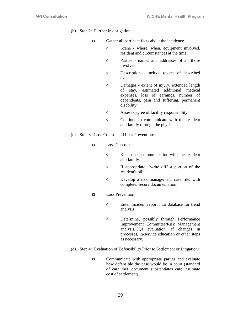- (b) Step 2: Further Investigation:
	- Gather all pertinent facts about the incidents:
		- $\Diamond$  Scene where, when, equipment involved, resident and circumstances at the time
		- Parties names and addresses of all those involved
		- Description include quotes of described events
		- Damages extent of injury, extended length of stay, estimated additional medical expenses, loss of earnings, number of dependents, pain and suffering, permanent disability
		- Assess degree of facility responsibility
		- $\Diamond$  Continue to communicate with the resident and family through the physician
- (c) Step 3: Loss Control and Loss Prevention:
	- Loss Control:
		- $\Diamond$  Keep open communication with the resident and family.
		- If appropriate, "write off" a portion of the resident's bill.
		- Develop a risk management case file, with complete, secure documentation.
	- D Loss Prevention:
		- Enter incident report into database for trend analysis.
		- Determine, possibly through Performance Improvement Committee/Risk Management analysis/CQI evaluation, if changes in processes, in-service education or other steps as necessary.
- (d) Step 4: Evaluation of Defensibility Prior to Settlement or Litigation:
	- □ Communicate with appropriate parties and evaluate how defensible the case would be in court (standard of care met, document substantiates care, estimate cost of settlement).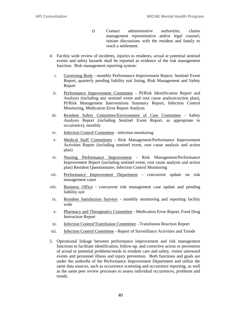- $\Box$  Contact administrative authorities, claims management representative and/or legal counsel; initiate discussions with the resident and family to reach a settlement.
- 4. Facility wide review of incidents, injuries to residents, actual or potential sentinel events and safety hazards shall be reported as evidence of the risk management function. Risk management reporting system:
	- i. Governing Body monthly Performance Improvement Report, Sentinel Event Report, quarterly pending liability suit listing, Risk Management and Safety Report
	- ii. Performance Improvement Committee PI/Risk Identification Report and Analysis (including any sentinel event and root cause analysis/action plan), PI/Risk Management Interventions Summary Report, Infection Control Monitoring, Medication Error Report Analysis
- iii. Resident Safety Committee/Environment of Care Committee Safety Analysis Report (including Sentinel Event Report, as appropriate to occurrence), monthly
- iv. Infection Control Committee infection monitoring
- v. Medical Staff Committees Risk Management/Performance Improvement Activities Report (including sentinel event, root cause analysis and action plan)
- vi. Nursing Performance Improvement Risk Management/Performance Improvement Report (including sentinel event, root cause analysis and action plan) Resident Questionnaire, Infection Control Monitoring
- vii. Performance Improvement Department concurrent update on risk management cases
- viii. Business Office concurrent risk management case update and pending liability suit
- ix. Resident Satisfaction Surveys monthly monitoring and reporting facility wide
- x. Pharmacy and Therapeutics Committee Medication Error Report, Food Drug Interaction Report
- xi. Infection Control/Transfusion Committee Transfusion Reaction Report
- xii. Infection Control Committee Report of Surveillance Activities and Trends
- 5. Operational linkage between performance improvement and risk management functions to facilitate identification, follow-up, and corrective action or prevention of actual or potential problems/needs in resident care and safety, visitor untoward events and personnel illness and injury prevention. Both functions and goals are under the umbrella of the Performance Improvement Department and utilize the same data sources, such as occurrence screening and occurrence reporting, as well as the same peer review processes to assess individual occurrences, problems and trends.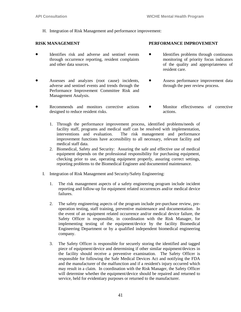H. Integration of Risk Management and performance improvement:

- Identifies risk and adverse and sentinel events through occurrence reporting, resident complaints and other data sources.
- Assesses and analyzes (root cause) incidents, adverse and sentinel events and trends through the Performance Improvement Committee Risk and Management Analysis.
- **RISK MANAGEMENT PERFORMANCE IMPROVEMENT**
	- Identifies problems through continuous monitoring of priority focus indicators of the quality and appropriateness of resident care.
	- Assess performance improvement data through the peer review process.
- Recommends and monitors corrective actions designed to reduce resident risks. Monitor effectiveness of corrective actions.
	- 1. Through the performance improvement process, identified problems/needs of facility staff, programs and medical staff can be resolved with implementation, interventions and evaluation. The risk management and performance improvement functions have accessibility to all necessary, relevant facility and medical staff data.
	- 2. Biomedical, Safety and Security: Assuring the safe and effective use of medical equipment depends on the professional responsibility for purchasing equipment, checking prior to use, operating equipment properly, assuring correct settings, reporting problems to the Biomedical Engineer and documented maintenance.
	- I. Integration of Risk Management and Security/Safety Engineering:
		- 1. The risk management aspects of a safety engineering program include incident reporting and follow-up for equipment related occurrences and/or medical device failures.
		- 2. The safety engineering aspects of the program include pre-purchase review, preoperation testing, staff training, preventive maintenance and documentation. In the event of an equipment related occurrence and/or medical device failure, the Safety Officer is responsible, in coordination with the Risk Manager, for implementing testing of the equipment/device by the facility Biomedical Engineering Department or by a qualified independent biomedical engineering company.
		- 3. The Safety Officer is responsible for securely storing the identified and tagged piece of equipment/device and determining if other similar equipment/devices in the facility should receive a preventive examination. The Safety Officer is responsible for following the Safe Medical Devices Act and notifying the FDA and the manufacturer of the malfunction and if a resident's injury occurred which may result in a claim. In coordination with the Risk Manager, the Safety Officer will determine whether the equipment/device should be repaired and returned to service, held for evidentiary purposes or returned to the manufacturer.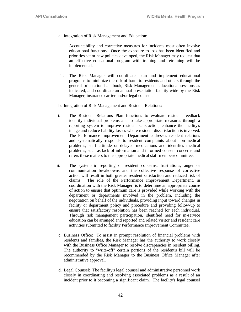- a. Integration of Risk Management and Education:
	- i. Accountability and corrective measures for incidents most often involve educational functions. Once the exposure to loss has been identified and priorities set or new policies developed, the Risk Manager may request that an effective educational program with training and retraining will be implemented.
	- ii. The Risk Manager will coordinate, plan and implement educational programs to minimize the risk of harm to residents and others through the general orientation handbook, Risk Management educational sessions as indicated, and coordinate an annual presentation facility wide by the Risk Manager, insurance carrier and/or legal counsel.
- b. Integration of Risk Management and Resident Relations:
- i. The Resident Relations Plan functions to evaluate resident feedback identify individual problems and to take appropriate measures through a reporting system to improve resident satisfaction, enhance the facility's image and reduce liability losses where resident dissatisfaction is involved. The Performance Improvement Department addresses resident relations and systematically responds to resident complaints about non-medical problems, staff attitude or delayed medications and identifies medical problems, such as lack of information and informed consent concerns and refers these matters to the appropriate medical staff member/committee.
- ii. The systematic reporting of resident concerns, frustrations, anger or communication breakdowns and the collective response of corrective action will result in both greater resident satisfaction and reduced risk of claims. The role of the Performance Improvement Department, in coordination with the Risk Manager, is to determine an appropriate course of action to ensure that optimum care is provided while working with the department or departments involved in the problem, including the negotiation on behalf of the individuals, providing input toward changes in facility or department policy and procedure and providing follow-up to ensure that satisfactory resolution has been reached for each individual. Through risk management participation, identified need for in-service education can be arranged and reported and related visitor and resident care activities submitted to facility Performance Improvement Committee.
- c. Business Office: To assist in prompt resolution of financial problems with residents and families, the Risk Manager has the authority to work closely with the Business Office Manager to resolve discrepancies in resident billing. The authority to "write-off" certain portions of the resident's bill will be recommended by the Risk Manager to the Business Office Manager after administrative approval.
- d. Legal Counsel: The facility's legal counsel and administrative personnel work closely in coordinating and resolving associated problems as a result of an incident prior to it becoming a significant claim. The facility's legal counsel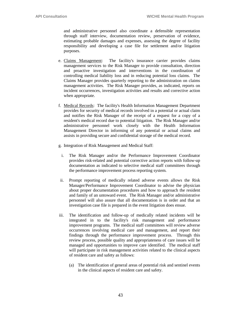and administrative personnel also coordinate a defensible representation through staff interview, documentation review, preservation of evidence, estimating probable damages and expenses, assessing the degree of facility responsibility and developing a case file for settlement and/or litigation purposes.

- e. Claims Management: The facility's insurance carrier provides claims management services to the Risk Manager to provide consultation, direction and proactive investigation and interventions in the coordination of controlling medical liability loss and in reducing potential loss claims. The Claims Manager provides quarterly reporting to the administration on claims management activities. The Risk Manager provides, as indicated, reports on incident occurrences, investigation activities and results and corrective action when appropriate.
- f. Medical Records: The facility's Health Information Management Department provides for security of medical records involved in a potential or actual claim and notifies the Risk Manager of the receipt of a request for a copy of a resident's medical record due to potential litigation. The Risk Manager and/or administrative personnel work closely with the Health Information Management Director in informing of any potential or actual claims and assists in providing secure and confidential storage of the medical record.
- g. Integration of Risk Management and Medical Staff:
- i. The Risk Manager and/or the Performance Improvement Coordinator provides risk-related and potential corrective action reports with follow-up documentation as indicated to selective medical staff committees through the performance improvement process reporting system.
- ii. Prompt reporting of medically related adverse events allows the Risk Manager/Performance Improvement Coordinator to advise the physician about proper documentation procedures and how to approach the resident and family of an untoward event. The Risk Manager and/or administrative personnel will also assure that all documentation is in order and that an investigation case file is prepared in the event litigation does ensue.
- iii. The identification and follow-up of medically related incidents will be integrated in to the facility's risk management and performance improvement programs. The medical staff committees will review adverse occurrences involving medical care and management, and report their findings through the performance improvement process. Through this review process, possible quality and appropriateness of care issues will be managed and opportunities to improve care identified. The medical staff will participate in risk management activities related to the clinical aspects of resident care and safety as follows:
	- (a) The identification of general areas of potential risk and sentinel events in the clinical aspects of resident care and safety.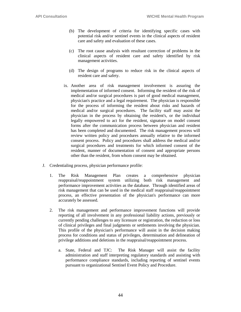- (b) The development of criteria for identifying specific cases with potential risk and/or sentinel events in the clinical aspects of resident care and safety and evaluation of these cases.
- (c) The root cause analysis with resultant correction of problems in the clinical aspects of resident care and safety identified by risk management activities.
- (d) The design of programs to reduce risk in the clinical aspects of resident care and safety.
- ix. Another area of risk management involvement is assuring the implementation of informed consent. Informing the resident of the risk of medical and/or surgical procedures is part of good medical management, physician's practice and a legal requirement. The physician is responsible for the process of informing the resident about risks and hazards of medical and/or surgical procedures. The facility staff may assist the physician in the process by obtaining the resident's, or the individual legally empowered to act for the resident, signature on model consent forms after the communication process between physician and resident has been completed and documented. The risk management process will review written policy and procedures annually relative to the informed consent process. Policy and procedures shall address the medical and/or surgical procedures and treatments for which informed consent of the resident, manner of documentation of consent and appropriate persons other than the resident, from whom consent may be obtained.
- J. Credentialing process, physician performance profile:
	- 1. The Risk Management Plan creates a comprehensive physician reappraisal/reappointment system utilizing both risk management and performance improvement activities as the database. Through identified areas of risk management that can be used in the medical staff reappraisal/reappointment process, an effective presentation of the physician's performance can more accurately be assessed.
	- 2. The risk management and performance improvement functions will provide reporting of all involvement in any professional liability actions, previously or currently pending challenges to any licensure or registration, the reduction or loss of clinical privileges and final judgments or settlements involving the physician. This profile of the physician's performance will assist in the decision making process for conditions and status of privileges, determination and delineation of privilege additions and deletions in the reappraisal/reappointment process.
		- a. State, Federal and TJC: The Risk Manager will assist the facility administration and staff interpreting regulatory standards and assisting with performance compliance standards, including reporting of sentinel events pursuant to organizational Sentinel Event Policy and Procedure.